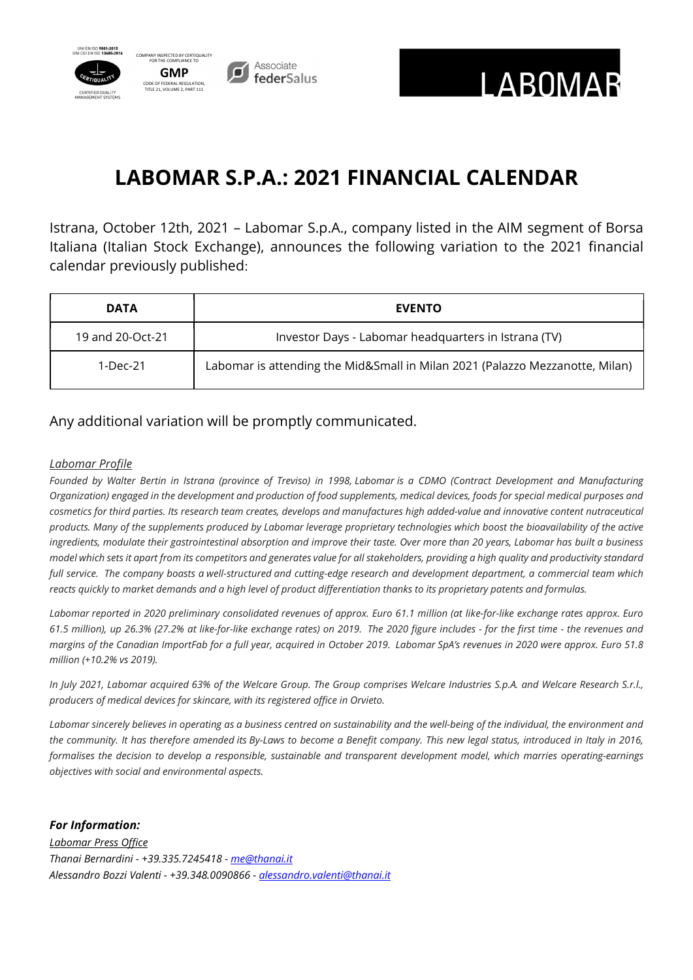



# LABOMAR S.P.A.: 2021 FINANCIAL CALENDAR

Istrana, October 12th, 2021 – Labomar S.p.A., company listed in the AIM segment of Borsa Italiana (Italian Stock Exchange), announces the following variation to the 2021 financial calendar previously published:

| <b>DATA</b>      | <b>EVENTO</b>                                                                |
|------------------|------------------------------------------------------------------------------|
| 19 and 20-Oct-21 | Investor Days - Labomar headquarters in Istrana (TV)                         |
| 1-Dec-21         | Labomar is attending the Mid&Small in Milan 2021 (Palazzo Mezzanotte, Milan) |

Any additional variation will be promptly communicated.

## Labomar Profile

Founded by Walter Bertin in Istrana (province of Treviso) in 1998, Labomar is a CDMO (Contract Development and Manufacturing Organization) engaged in the development and production of food supplements, medical devices, foods for special medical purposes and cosmetics for third parties. Its research team creates, develops and manufactures high added-value and innovative content nutraceutical products. Many of the supplements produced by Labomar leverage proprietary technologies which boost the bioavailability of the active ingredients, modulate their gastrointestinal absorption and improve their taste. Over more than 20 years, Labomar has built a business model which sets it apart from its competitors and generates value for all stakeholders, providing a high quality and productivity standard full service. The company boasts a well-structured and cutting-edge research and development department, a commercial team which reacts quickly to market demands and a high level of product differentiation thanks to its proprietary patents and formulas.

Labomar reported in 2020 preliminary consolidated revenues of approx. Euro 61.1 million (at like-for-like exchange rates approx. Euro 61.5 million), up 26.3% (27.2% at like-for-like exchange rates) on 2019. The 2020 figure includes - for the first time - the revenues and margins of the Canadian ImportFab for a full year, acquired in October 2019. Labomar SpA's revenues in 2020 were approx. Euro 51.8 million (+10.2% vs 2019).

In July 2021, Labomar acquired 63% of the Welcare Group. The Group comprises Welcare Industries S.p.A. and Welcare Research S.r.l., producers of medical devices for skincare, with its registered office in Orvieto.

Labomar sincerely believes in operating as a business centred on sustainability and the well-being of the individual, the environment and the community. It has therefore amended its By-Laws to become a Benefit company. This new legal status, introduced in Italy in 2016, formalises the decision to develop a responsible, sustainable and transparent development model, which marries operating-earnings objectives with social and environmental aspects.

# For Information:

Labomar Press Office Thanai Bernardini - +39.335.7245418 - me@thanai.it Alessandro Bozzi Valenti - +39.348.0090866 - alessandro.valenti@thanai.it